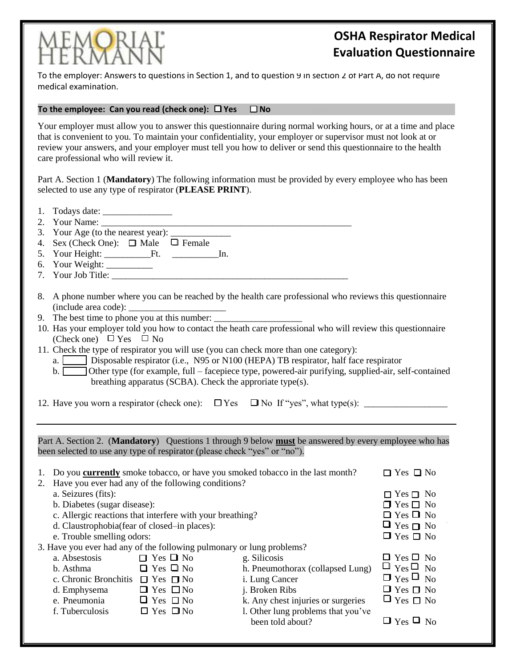

## **OSHA Respirator Medical Evaluation Questionnaire**

To the employer: Answers to questions in Section 1, and to question 9 in section 2 of Part A, do not require medical examination.

## To the employee: Can you read (check one):  $\Box$  Yes  $\Box$  No

Your employer must allow you to answer this questionnaire during normal working hours, or at a time and place that is convenient to you. To maintain your confidentiality, your employer or supervisor must not look at or review your answers, and your employer must tell you how to deliver or send this questionnaire to the health care professional who will review it.

Part A. Section 1 (**Mandatory**) The following information must be provided by every employee who has been selected to use any type of respirator (**PLEASE PRINT**).

| 2.                                                                                                                                                                                 |                                                                                                                                                                                                                                                                                                                                                                                                                                                                                                                                                                                                                                                                          |                                                                       |                                                                                         |                                                                |  |  |
|------------------------------------------------------------------------------------------------------------------------------------------------------------------------------------|--------------------------------------------------------------------------------------------------------------------------------------------------------------------------------------------------------------------------------------------------------------------------------------------------------------------------------------------------------------------------------------------------------------------------------------------------------------------------------------------------------------------------------------------------------------------------------------------------------------------------------------------------------------------------|-----------------------------------------------------------------------|-----------------------------------------------------------------------------------------|----------------------------------------------------------------|--|--|
|                                                                                                                                                                                    |                                                                                                                                                                                                                                                                                                                                                                                                                                                                                                                                                                                                                                                                          |                                                                       |                                                                                         |                                                                |  |  |
|                                                                                                                                                                                    | 4. Sex (Check One): $\Box$ Male $\Box$ Female                                                                                                                                                                                                                                                                                                                                                                                                                                                                                                                                                                                                                            |                                                                       |                                                                                         |                                                                |  |  |
|                                                                                                                                                                                    |                                                                                                                                                                                                                                                                                                                                                                                                                                                                                                                                                                                                                                                                          |                                                                       |                                                                                         |                                                                |  |  |
|                                                                                                                                                                                    |                                                                                                                                                                                                                                                                                                                                                                                                                                                                                                                                                                                                                                                                          |                                                                       |                                                                                         |                                                                |  |  |
|                                                                                                                                                                                    |                                                                                                                                                                                                                                                                                                                                                                                                                                                                                                                                                                                                                                                                          | 7. Your Job Title:                                                    |                                                                                         |                                                                |  |  |
|                                                                                                                                                                                    | 8. A phone number where you can be reached by the health care professional who reviews this questionnaire<br>9. The best time to phone you at this number:<br>10. Has your employer told you how to contact the heath care professional who will review this questionnaire<br>(Check one) $\Box$ Yes $\Box$ No<br>11. Check the type of respirator you will use (you can check more than one category):<br>a. Disposable respirator (i.e., N95 or N100 (HEPA) TB respirator, half face respirator<br>b. Other type (for example, full – facepiece type, powered-air purifying, supplied-air, self-contained<br>breathing apparatus (SCBA). Check the approriate type(s). |                                                                       |                                                                                         |                                                                |  |  |
|                                                                                                                                                                                    |                                                                                                                                                                                                                                                                                                                                                                                                                                                                                                                                                                                                                                                                          |                                                                       |                                                                                         |                                                                |  |  |
| Part A. Section 2. (Mandatory) Questions 1 through 9 below must be answered by every employee who has<br>been selected to use any type of respirator (please check "yes" or "no"). |                                                                                                                                                                                                                                                                                                                                                                                                                                                                                                                                                                                                                                                                          |                                                                       |                                                                                         |                                                                |  |  |
|                                                                                                                                                                                    |                                                                                                                                                                                                                                                                                                                                                                                                                                                                                                                                                                                                                                                                          |                                                                       |                                                                                         |                                                                |  |  |
|                                                                                                                                                                                    |                                                                                                                                                                                                                                                                                                                                                                                                                                                                                                                                                                                                                                                                          |                                                                       | 1. Do you <b>currently</b> smoke tobacco, or have you smoked tobacco in the last month? | $\Box$ Yes $\Box$ No                                           |  |  |
|                                                                                                                                                                                    |                                                                                                                                                                                                                                                                                                                                                                                                                                                                                                                                                                                                                                                                          | 2. Have you ever had any of the following conditions?                 |                                                                                         |                                                                |  |  |
|                                                                                                                                                                                    | a. Seizures (fits):<br>b. Diabetes (sugar disease):                                                                                                                                                                                                                                                                                                                                                                                                                                                                                                                                                                                                                      |                                                                       |                                                                                         | $\hfill\Box$<br>Yes $\hfill\Box$<br>No<br>$\Box$ Yes $\Box$ No |  |  |
|                                                                                                                                                                                    |                                                                                                                                                                                                                                                                                                                                                                                                                                                                                                                                                                                                                                                                          | c. Allergic reactions that interfere with your breathing?             |                                                                                         | $\Box$ Yes $\Box$ No                                           |  |  |
|                                                                                                                                                                                    | d. Claustrophobia(fear of closed-in places):                                                                                                                                                                                                                                                                                                                                                                                                                                                                                                                                                                                                                             |                                                                       |                                                                                         | $\Box$ Yes $\Box$ No                                           |  |  |
|                                                                                                                                                                                    | e. Trouble smelling odors:                                                                                                                                                                                                                                                                                                                                                                                                                                                                                                                                                                                                                                               |                                                                       |                                                                                         | $\Box$ Yes $\Box$ No                                           |  |  |
|                                                                                                                                                                                    |                                                                                                                                                                                                                                                                                                                                                                                                                                                                                                                                                                                                                                                                          | 3. Have you ever had any of the following pulmonary or lung problems? |                                                                                         |                                                                |  |  |
|                                                                                                                                                                                    | a. Absestosis $\Box$ Yes $\Box$ No                                                                                                                                                                                                                                                                                                                                                                                                                                                                                                                                                                                                                                       |                                                                       | g. Silicosis                                                                            | $\Box$ Yes $\Box$ No                                           |  |  |
|                                                                                                                                                                                    | b. Asthma                                                                                                                                                                                                                                                                                                                                                                                                                                                                                                                                                                                                                                                                | $\Box$ Yes $\Box$ No                                                  | h. Pneumothorax (collapsed Lung)                                                        | $\Box$ Yes $\Box$ No                                           |  |  |
|                                                                                                                                                                                    | c. Chronic Bronchitis $\Box$ Yes $\Box$ No                                                                                                                                                                                                                                                                                                                                                                                                                                                                                                                                                                                                                               |                                                                       | i. Lung Cancer                                                                          | $\Box$ Yes $\Box$ No                                           |  |  |
|                                                                                                                                                                                    | d. Emphysema $\Box$ Yes $\Box$ No                                                                                                                                                                                                                                                                                                                                                                                                                                                                                                                                                                                                                                        |                                                                       | j. Broken Ribs                                                                          | $\Box$ Yes $\Box$ No                                           |  |  |
|                                                                                                                                                                                    | e. Pneumonia $\Box$ Yes $\Box$ No<br>f. Tuberculosis $\Box$ Yes $\Box$ No                                                                                                                                                                                                                                                                                                                                                                                                                                                                                                                                                                                                |                                                                       | k. Any chest injuries or surgeries<br>1. Other lung problems that you've                | $\Box$ Yes $\Box$ No                                           |  |  |